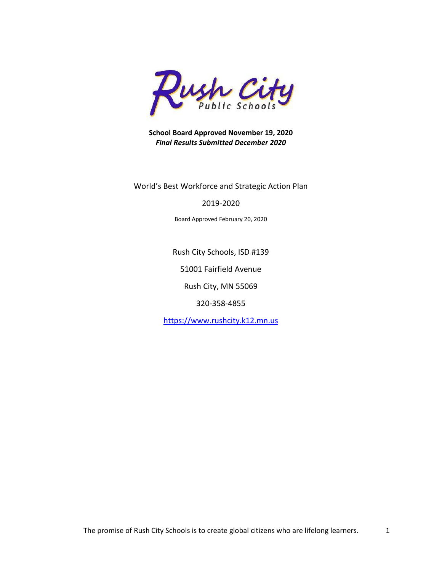

**School Board Approved November 19, 2020** *Final Results Submitted December 2020*

World's Best Workforce and Strategic Action Plan

#### 2019-2020

Board Approved February 20, 2020

Rush City Schools, ISD #139

51001 Fairfield Avenue

Rush City, MN 55069

320-358-4855

[https://www.rushcity.k12.mn.us](https://www.rushcity.k12.mn.us/)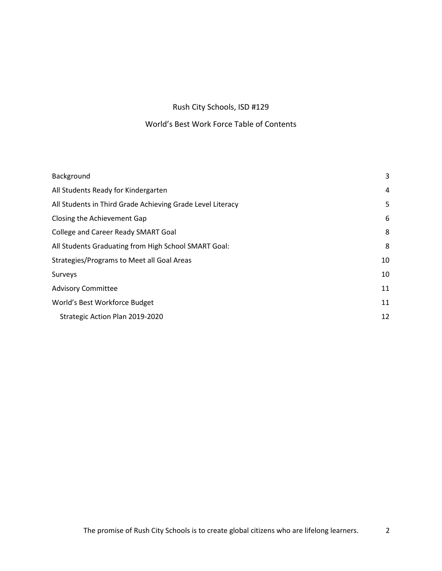## Rush City Schools, ISD #129

## World's Best Work Force Table of Contents

| Background                                                 | 3  |
|------------------------------------------------------------|----|
| All Students Ready for Kindergarten                        | 4  |
| All Students in Third Grade Achieving Grade Level Literacy | 5  |
| Closing the Achievement Gap                                | 6  |
| College and Career Ready SMART Goal                        | 8  |
| All Students Graduating from High School SMART Goal:       | 8  |
| Strategies/Programs to Meet all Goal Areas                 | 10 |
| Surveys                                                    | 10 |
| <b>Advisory Committee</b>                                  | 11 |
| World's Best Workforce Budget                              | 11 |
| Strategic Action Plan 2019-2020                            | 12 |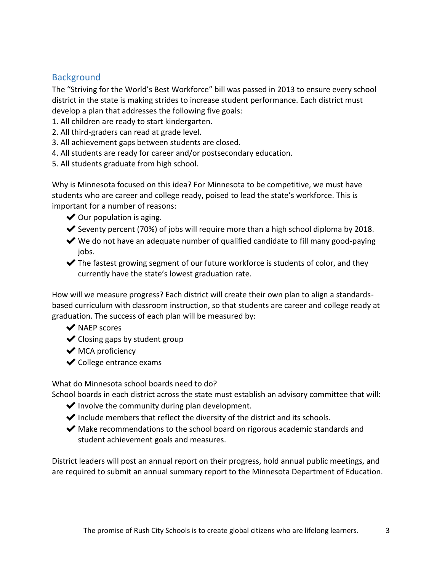# <span id="page-2-0"></span>**Background**

The "Striving for the World's Best Workforce" bill was passed in 2013 to ensure every school district in the state is making strides to increase student performance. Each district must develop a plan that addresses the following five goals:

- 1. All children are ready to start kindergarten.
- 2. All third-graders can read at grade level.
- 3. All achievement gaps between students are closed.
- 4. All students are ready for career and/or postsecondary education.
- 5. All students graduate from high school.

Why is Minnesota focused on this idea? For Minnesota to be competitive, we must have students who are career and college ready, poised to lead the state's workforce. This is important for a number of reasons:

- $\blacktriangleright$  Our population is aging.
- $\blacktriangleright$  Seventy percent (70%) of jobs will require more than a high school diploma by 2018.
- $\blacktriangleright$  We do not have an adequate number of qualified candidate to fill many good-paying jobs.
- $\blacktriangleright$  The fastest growing segment of our future workforce is students of color, and they currently have the state's lowest graduation rate.

How will we measure progress? Each district will create their own plan to align a standardsbased curriculum with classroom instruction, so that students are career and college ready at graduation. The success of each plan will be measured by:

- ◆ NAEP scores
- $\blacktriangleright$  Closing gaps by student group
- $\blacktriangleright$  MCA proficiency
- $\blacktriangleright$  College entrance exams

What do Minnesota school boards need to do?

School boards in each district across the state must establish an advisory committee that will:

- $\blacktriangleright$  Involve the community during plan development.
- $\blacktriangleright$  Include members that reflect the diversity of the district and its schools.
- $\blacktriangleright$  Make recommendations to the school board on rigorous academic standards and student achievement goals and measures.

District leaders will post an annual report on their progress, hold annual public meetings, and are required to submit an annual summary report to the Minnesota Department of Education.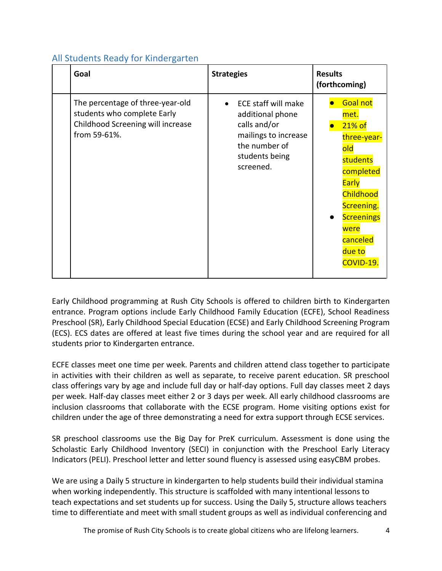# <span id="page-3-0"></span>All Students Ready for Kindergarten

| Goal                                                                                                                 | <b>Strategies</b>                                                                                                                      | <b>Results</b><br>(forthcoming)                                                                                                                                                                          |
|----------------------------------------------------------------------------------------------------------------------|----------------------------------------------------------------------------------------------------------------------------------------|----------------------------------------------------------------------------------------------------------------------------------------------------------------------------------------------------------|
| The percentage of three-year-old<br>students who complete Early<br>Childhood Screening will increase<br>from 59-61%. | <b>ECE staff will make</b><br>additional phone<br>calls and/or<br>mailings to increase<br>the number of<br>students being<br>screened. | <b>Goal not</b><br>met.<br>21% of<br>three-year-<br>old<br>students<br>completed<br><b>Early</b><br>Childhood<br>Screening.<br><b>Screenings</b><br>$\bullet$<br>were<br>canceled<br>due to<br>COVID-19. |

Early Childhood programming at Rush City Schools is offered to children birth to Kindergarten entrance. Program options include Early Childhood Family Education (ECFE), School Readiness Preschool (SR), Early Childhood Special Education (ECSE) and Early Childhood Screening Program (ECS). ECS dates are offered at least five times during the school year and are required for all students prior to Kindergarten entrance.

ECFE classes meet one time per week. Parents and children attend class together to participate in activities with their children as well as separate, to receive parent education. SR preschool class offerings vary by age and include full day or half-day options. Full day classes meet 2 days per week. Half-day classes meet either 2 or 3 days per week. All early childhood classrooms are inclusion classrooms that collaborate with the ECSE program. Home visiting options exist for children under the age of three demonstrating a need for extra support through ECSE services.

SR preschool classrooms use the Big Day for PreK curriculum. Assessment is done using the Scholastic Early Childhood Inventory (SECI) in conjunction with the Preschool Early Literacy Indicators (PELI). Preschool letter and letter sound fluency is assessed using easyCBM probes.

We are using a Daily 5 structure in kindergarten to help students build their individual stamina when working independently. This structure is scaffolded with many intentional lessons to teach expectations and set students up for success. Using the Daily 5, structure allows teachers time to differentiate and meet with small student groups as well as individual conferencing and

The promise of Rush City Schools is to create global citizens who are lifelong learners. 4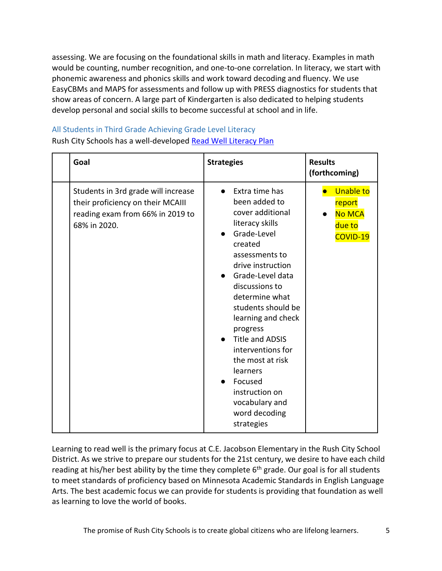assessing. We are focusing on the foundational skills in math and literacy. Examples in math would be counting, number recognition, and one-to-one correlation. In literacy, we start with phonemic awareness and phonics skills and work toward decoding and fluency. We use EasyCBMs and MAPS for assessments and follow up with PRESS diagnostics for students that show areas of concern. A large part of Kindergarten is also dedicated to helping students develop personal and social skills to become successful at school and in life.

# <span id="page-4-0"></span>All Students in Third Grade Achieving Grade Level Literacy

Rush City Schools has a well-developed [Read Well Literacy Plan](https://www.rushcity.k12.mn.us/UserFiles/Servers/Server_922064/File/Elementary/Read%20Well%20Plan%202019-2020.pdf)

| Goal                                                                                                                         | <b>Strategies</b>                                                                                                                                                                                                                                                                                                                                                                                                                              | <b>Results</b><br>(forthcoming)                                   |
|------------------------------------------------------------------------------------------------------------------------------|------------------------------------------------------------------------------------------------------------------------------------------------------------------------------------------------------------------------------------------------------------------------------------------------------------------------------------------------------------------------------------------------------------------------------------------------|-------------------------------------------------------------------|
| Students in 3rd grade will increase<br>their proficiency on their MCAIII<br>reading exam from 66% in 2019 to<br>68% in 2020. | Extra time has<br>been added to<br>cover additional<br>literacy skills<br>Grade-Level<br>created<br>assessments to<br>drive instruction<br>Grade-Level data<br>$\bullet$<br>discussions to<br>determine what<br>students should be<br>learning and check<br>progress<br><b>Title and ADSIS</b><br>$\bullet$<br>interventions for<br>the most at risk<br>learners<br>Focused<br>instruction on<br>vocabulary and<br>word decoding<br>strategies | <b>Unable to</b><br>report<br><b>No MCA</b><br>due to<br>COVID-19 |

Learning to read well is the primary focus at C.E. Jacobson Elementary in the Rush City School District. As we strive to prepare our students for the 21st century, we desire to have each child reading at his/her best ability by the time they complete  $6<sup>th</sup>$  grade. Our goal is for all students to meet standards of proficiency based on Minnesota Academic Standards in English Language Arts. The best academic focus we can provide for students is providing that foundation as well as learning to love the world of books.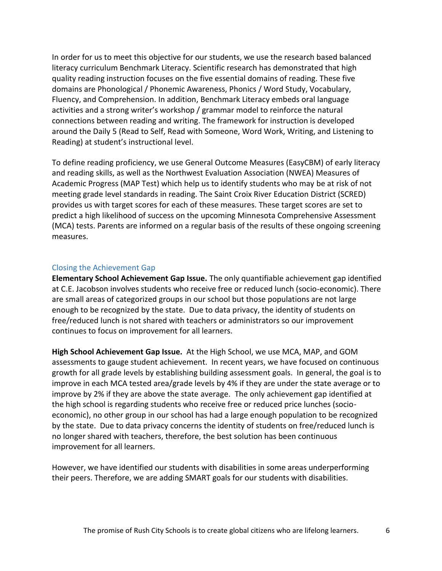In order for us to meet this objective for our students, we use the research based balanced literacy curriculum Benchmark Literacy. Scientific research has demonstrated that high quality reading instruction focuses on the five essential domains of reading. These five domains are Phonological / Phonemic Awareness, Phonics / Word Study, Vocabulary, Fluency, and Comprehension. In addition, Benchmark Literacy embeds oral language activities and a strong writer's workshop / grammar model to reinforce the natural connections between reading and writing. The framework for instruction is developed around the Daily 5 (Read to Self, Read with Someone, Word Work, Writing, and Listening to Reading) at student's instructional level.

To define reading proficiency, we use General Outcome Measures (EasyCBM) of early literacy and reading skills, as well as the Northwest Evaluation Association (NWEA) Measures of Academic Progress (MAP Test) which help us to identify students who may be at risk of not meeting grade level standards in reading. The Saint Croix River Education District (SCRED) provides us with target scores for each of these measures. These target scores are set to predict a high likelihood of success on the upcoming Minnesota Comprehensive Assessment (MCA) tests. Parents are informed on a regular basis of the results of these ongoing screening measures.

#### <span id="page-5-0"></span>Closing the Achievement Gap

**Elementary School Achievement Gap Issue.** The only quantifiable achievement gap identified at C.E. Jacobson involves students who receive free or reduced lunch (socio-economic). There are small areas of categorized groups in our school but those populations are not large enough to be recognized by the state. Due to data privacy, the identity of students on free/reduced lunch is not shared with teachers or administrators so our improvement continues to focus on improvement for all learners.

**High School Achievement Gap Issue.** At the High School, we use MCA, MAP, and GOM assessments to gauge student achievement. In recent years, we have focused on continuous growth for all grade levels by establishing building assessment goals. In general, the goal is to improve in each MCA tested area/grade levels by 4% if they are under the state average or to improve by 2% if they are above the state average. The only achievement gap identified at the high school is regarding students who receive free or reduced price lunches (socioeconomic), no other group in our school has had a large enough population to be recognized by the state. Due to data privacy concerns the identity of students on free/reduced lunch is no longer shared with teachers, therefore, the best solution has been continuous improvement for all learners.

However, we have identified our students with disabilities in some areas underperforming their peers. Therefore, we are adding SMART goals for our students with disabilities.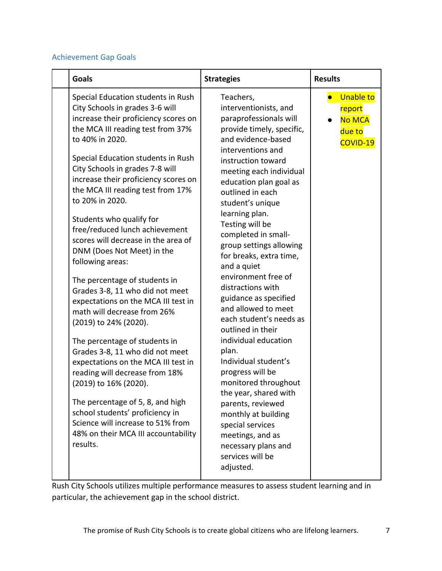## Achievement Gap Goals

| Special Education students in Rush<br>Teachers,<br>City Schools in grades 3-6 will<br>interventionists, and<br>increase their proficiency scores on<br>paraprofessionals will<br>the MCA III reading test from 37%<br>provide timely, specific,<br>to 40% in 2020.<br>and evidence-based<br>interventions and<br>Special Education students in Rush<br>instruction toward<br>City Schools in grades 7-8 will<br>meeting each individual<br>increase their proficiency scores on<br>education plan goal as<br>the MCA III reading test from 17%<br>outlined in each<br>to 20% in 2020.                                                                                                                                                                                                                                                                                                                                                                                                                                                                                                                                                                                                                              | <b>Goals</b> | <b>Strategies</b> | <b>Results</b>                                                    |
|--------------------------------------------------------------------------------------------------------------------------------------------------------------------------------------------------------------------------------------------------------------------------------------------------------------------------------------------------------------------------------------------------------------------------------------------------------------------------------------------------------------------------------------------------------------------------------------------------------------------------------------------------------------------------------------------------------------------------------------------------------------------------------------------------------------------------------------------------------------------------------------------------------------------------------------------------------------------------------------------------------------------------------------------------------------------------------------------------------------------------------------------------------------------------------------------------------------------|--------------|-------------------|-------------------------------------------------------------------|
| learning plan.<br>Students who qualify for<br>Testing will be<br>free/reduced lunch achievement<br>completed in small-<br>scores will decrease in the area of<br>group settings allowing<br>DNM (Does Not Meet) in the<br>for breaks, extra time,<br>following areas:<br>and a quiet<br>environment free of<br>The percentage of students in<br>distractions with<br>Grades 3-8, 11 who did not meet<br>guidance as specified<br>expectations on the MCA III test in<br>and allowed to meet<br>math will decrease from 26%<br>each student's needs as<br>(2019) to 24% (2020).<br>outlined in their<br>individual education<br>The percentage of students in<br>plan.<br>Grades 3-8, 11 who did not meet<br>Individual student's<br>expectations on the MCA III test in<br>progress will be<br>reading will decrease from 18%<br>monitored throughout<br>(2019) to 16% (2020).<br>the year, shared with<br>The percentage of 5, 8, and high<br>parents, reviewed<br>school students' proficiency in<br>monthly at building<br>Science will increase to 51% from<br>special services<br>48% on their MCA III accountability<br>meetings, and as<br>results.<br>necessary plans and<br>services will be<br>adjusted. |              | student's unique  | <b>Unable to</b><br>report<br><b>No MCA</b><br>due to<br>COVID-19 |

Rush City Schools utilizes multiple performance measures to assess student learning and in particular, the achievement gap in the school district.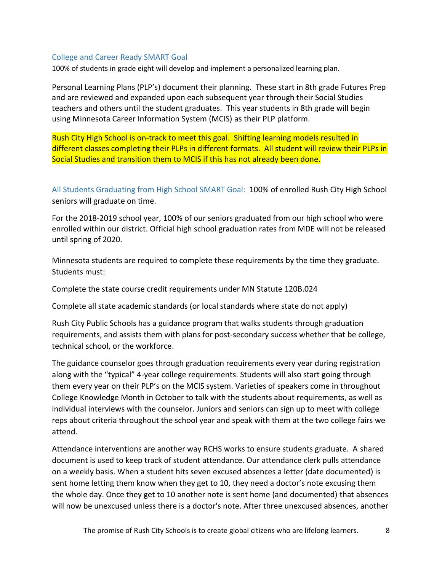#### <span id="page-7-0"></span>College and Career Ready SMART Goal

100% of students in grade eight will develop and implement a personalized learning plan.

Personal Learning Plans (PLP's) document their planning. These start in 8th grade Futures Prep and are reviewed and expanded upon each subsequent year through their Social Studies teachers and others until the student graduates. This year students in 8th grade will begin using Minnesota Career Information System (MCIS) as their PLP platform.

Rush City High School is on-track to meet this goal. Shifting learning models resulted in different classes completing their PLPs in different formats. All student will review their PLPs in Social Studies and transition them to MCIS if this has not already been done.

<span id="page-7-1"></span>All Students Graduating from High School SMART Goal: 100% of enrolled Rush City High School seniors will graduate on time.

For the 2018-2019 school year, 100% of our seniors graduated from our high school who were enrolled within our district. Official high school graduation rates from MDE will not be released until spring of 2020.

Minnesota students are required to complete these requirements by the time they graduate. Students must:

Complete the state course credit requirements under MN Statute 120B.024

Complete all state academic standards (or local standards where state do not apply)

Rush City Public Schools has a guidance program that walks students through graduation requirements, and assists them with plans for post-secondary success whether that be college, technical school, or the workforce.

The guidance counselor goes through graduation requirements every year during registration along with the "typical" 4-year college requirements. Students will also start going through them every year on their PLP's on the MCIS system. Varieties of speakers come in throughout College Knowledge Month in October to talk with the students about requirements, as well as individual interviews with the counselor. Juniors and seniors can sign up to meet with college reps about criteria throughout the school year and speak with them at the two college fairs we attend.

Attendance interventions are another way RCHS works to ensure students graduate. A shared document is used to keep track of student attendance. Our attendance clerk pulls attendance on a weekly basis. When a student hits seven excused absences a letter (date documented) is sent home letting them know when they get to 10, they need a doctor's note excusing them the whole day. Once they get to 10 another note is sent home (and documented) that absences will now be unexcused unless there is a doctor's note. After three unexcused absences, another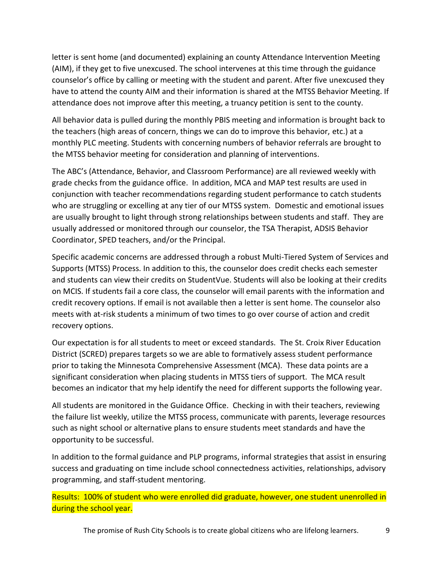letter is sent home (and documented) explaining an county Attendance Intervention Meeting (AIM), if they get to five unexcused. The school intervenes at this time through the guidance counselor's office by calling or meeting with the student and parent. After five unexcused they have to attend the county AIM and their information is shared at the MTSS Behavior Meeting. If attendance does not improve after this meeting, a truancy petition is sent to the county.

All behavior data is pulled during the monthly PBIS meeting and information is brought back to the teachers (high areas of concern, things we can do to improve this behavior, etc.) at a monthly PLC meeting. Students with concerning numbers of behavior referrals are brought to the MTSS behavior meeting for consideration and planning of interventions.

The ABC's (Attendance, Behavior, and Classroom Performance) are all reviewed weekly with grade checks from the guidance office. In addition, MCA and MAP test results are used in conjunction with teacher recommendations regarding student performance to catch students who are struggling or excelling at any tier of our MTSS system. Domestic and emotional issues are usually brought to light through strong relationships between students and staff. They are usually addressed or monitored through our counselor, the TSA Therapist, ADSIS Behavior Coordinator, SPED teachers, and/or the Principal.

Specific academic concerns are addressed through a robust Multi-Tiered System of Services and Supports (MTSS) Process. In addition to this, the counselor does credit checks each semester and students can view their credits on StudentVue. Students will also be looking at their credits on MCIS. If students fail a core class, the counselor will email parents with the information and credit recovery options. If email is not available then a letter is sent home. The counselor also meets with at-risk students a minimum of two times to go over course of action and credit recovery options.

Our expectation is for all students to meet or exceed standards. The St. Croix River Education District (SCRED) prepares targets so we are able to formatively assess student performance prior to taking the Minnesota Comprehensive Assessment (MCA). These data points are a significant consideration when placing students in MTSS tiers of support. The MCA result becomes an indicator that my help identify the need for different supports the following year.

All students are monitored in the Guidance Office. Checking in with their teachers, reviewing the failure list weekly, utilize the MTSS process, communicate with parents, leverage resources such as night school or alternative plans to ensure students meet standards and have the opportunity to be successful.

In addition to the formal guidance and PLP programs, informal strategies that assist in ensuring success and graduating on time include school connectedness activities, relationships, advisory programming, and staff-student mentoring.

Results: 100% of student who were enrolled did graduate, however, one student unenrolled in during the school year.

The promise of Rush City Schools is to create global citizens who are lifelong learners. 9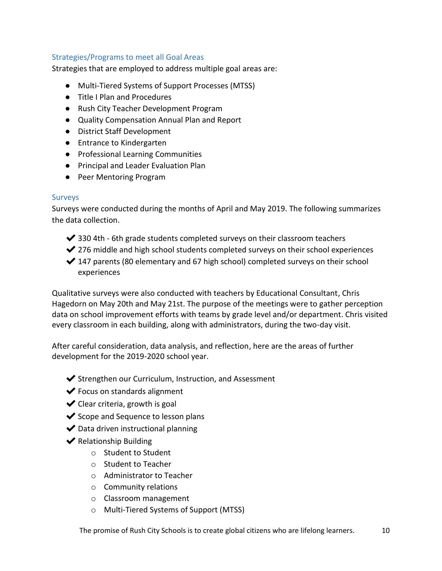#### <span id="page-9-0"></span>Strategies/Programs to meet all Goal Areas

Strategies that are employed to address multiple goal areas are:

- Multi-Tiered Systems of Support Processes (MTSS)
- Title I Plan and Procedures
- Rush City Teacher Development Program
- Quality Compensation Annual Plan and Report
- District Staff Development
- Entrance to Kindergarten
- Professional Learning Communities
- Principal and Leader Evaluation Plan
- Peer Mentoring Program

#### <span id="page-9-1"></span>Surveys

Surveys were conducted during the months of April and May 2019. The following summarizes the data collection.

- $\blacktriangleright$  330 4th 6th grade students completed surveys on their classroom teachers
- ◆ 276 middle and high school students completed surveys on their school experiences
- $\blacktriangleright$  147 parents (80 elementary and 67 high school) completed surveys on their school experiences

Qualitative surveys were also conducted with teachers by Educational Consultant, Chris Hagedorn on May 20th and May 21st. The purpose of the meetings were to gather perception data on school improvement efforts with teams by grade level and/or department. Chris visited every classroom in each building, along with administrators, during the two-day visit.

After careful consideration, data analysis, and reflection, here are the areas of further development for the 2019-2020 school year.

- ✔Strengthen our Curriculum, Instruction, and Assessment
- $\blacktriangleright$  Focus on standards alignment
- $\blacktriangleright$  Clear criteria, growth is goal
- ◆ Scope and Sequence to lesson plans
- $\blacktriangleright$  Data driven instructional planning
- $\blacktriangleright$  Relationship Building
	- o Student to Student
	- o Student to Teacher
	- o Administrator to Teacher
	- o Community relations
	- o Classroom management
	- o Multi-Tiered Systems of Support (MTSS)

The promise of Rush City Schools is to create global citizens who are lifelong learners. 10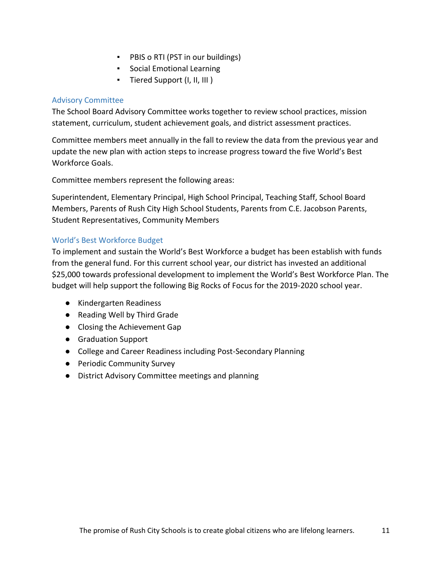- PBIS o RTI (PST in our buildings)
- Social Emotional Learning
- Tiered Support (I, II, III )

### <span id="page-10-0"></span>Advisory Committee

The School Board Advisory Committee works together to review school practices, mission statement, curriculum, student achievement goals, and district assessment practices.

Committee members meet annually in the fall to review the data from the previous year and update the new plan with action steps to increase progress toward the five World's Best Workforce Goals.

Committee members represent the following areas:

Superintendent, Elementary Principal, High School Principal, Teaching Staff, School Board Members, Parents of Rush City High School Students, Parents from C.E. Jacobson Parents, Student Representatives, Community Members

### <span id="page-10-1"></span>World's Best Workforce Budget

To implement and sustain the World's Best Workforce a budget has been establish with funds from the general fund. For this current school year, our district has invested an additional \$25,000 towards professional development to implement the World's Best Workforce Plan. The budget will help support the following Big Rocks of Focus for the 2019-2020 school year.

- Kindergarten Readiness
- Reading Well by Third Grade
- Closing the Achievement Gap
- Graduation Support
- College and Career Readiness including Post-Secondary Planning
- Periodic Community Survey
- District Advisory Committee meetings and planning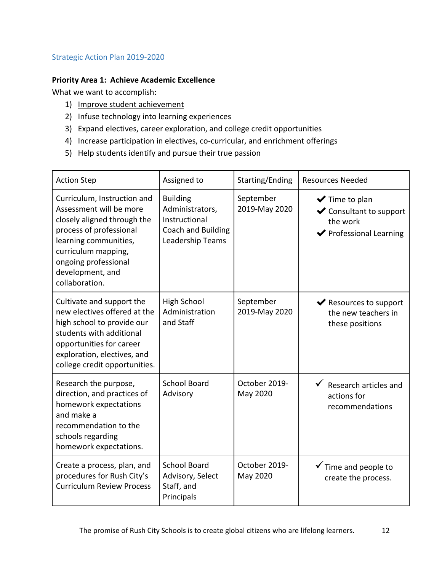## <span id="page-11-0"></span>Strategic Action Plan 2019-2020

## **Priority Area 1: Achieve Academic Excellence**

What we want to accomplish:

- 1) Improve student achievement
- 2) Infuse technology into learning experiences
- 3) Expand electives, career exploration, and college credit opportunities
- 4) Increase participation in electives, co-curricular, and enrichment offerings
- 5) Help students identify and pursue their true passion

| <b>Action Step</b>                                                                                                                                                                                                             | Assigned to                                                                                   | Starting/Ending            | <b>Resources Needed</b>                                                                                                  |
|--------------------------------------------------------------------------------------------------------------------------------------------------------------------------------------------------------------------------------|-----------------------------------------------------------------------------------------------|----------------------------|--------------------------------------------------------------------------------------------------------------------------|
| Curriculum, Instruction and<br>Assessment will be more<br>closely aligned through the<br>process of professional<br>learning communities,<br>curriculum mapping,<br>ongoing professional<br>development, and<br>collaboration. | <b>Building</b><br>Administrators,<br>Instructional<br>Coach and Building<br>Leadership Teams | September<br>2019-May 2020 | $\blacktriangleright$ Time to plan<br>$\blacktriangleright$ Consultant to support<br>the work<br>◆ Professional Learning |
| Cultivate and support the<br>new electives offered at the<br>high school to provide our<br>students with additional<br>opportunities for career<br>exploration, electives, and<br>college credit opportunities.                | <b>High School</b><br>Administration<br>and Staff                                             | September<br>2019-May 2020 | ◆ Resources to support<br>the new teachers in<br>these positions                                                         |
| Research the purpose,<br>direction, and practices of<br>homework expectations<br>and make a<br>recommendation to the<br>schools regarding<br>homework expectations.                                                            | <b>School Board</b><br>Advisory                                                               | October 2019-<br>May 2020  | $\checkmark$ Research articles and<br>actions for<br>recommendations                                                     |
| Create a process, plan, and<br>procedures for Rush City's<br><b>Curriculum Review Process</b>                                                                                                                                  | <b>School Board</b><br>Advisory, Select<br>Staff, and<br>Principals                           | October 2019-<br>May 2020  | $\checkmark$ Time and people to<br>create the process.                                                                   |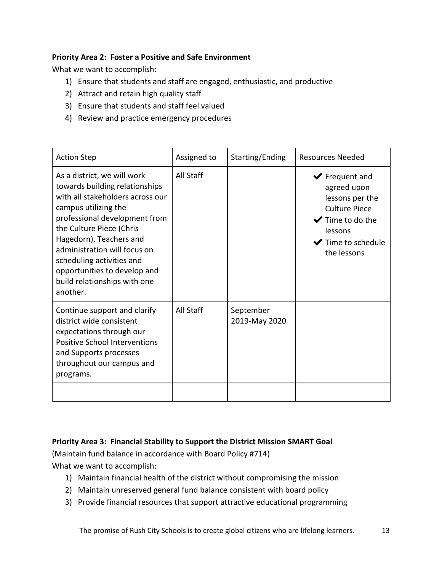## **Priority Area 2: Foster a Positive and Safe Environment**

What we want to accomplish:

- 1) Ensure that students and staff are engaged, enthusiastic, and productive
- 2) Attract and retain high quality staff
- 3) Ensure that students and staff feel valued
- 4) Review and practice emergency procedures

| <b>Action Step</b>                                                                                                                                                                                                                                                                                                                                         | Assigned to | Starting/Ending            | <b>Resources Needed</b>                                                                                                                                                                                  |
|------------------------------------------------------------------------------------------------------------------------------------------------------------------------------------------------------------------------------------------------------------------------------------------------------------------------------------------------------------|-------------|----------------------------|----------------------------------------------------------------------------------------------------------------------------------------------------------------------------------------------------------|
| As a district, we will work<br>towards building relationships<br>with all stakeholders across our<br>campus utilizing the<br>professional development from<br>the Culture Piece (Chris<br>Hagedorn). Teachers and<br>administration will focus on<br>scheduling activities and<br>opportunities to develop and<br>build relationships with one<br>another. | All Staff   |                            | $\blacktriangleright$ Frequent and<br>agreed upon<br>lessons per the<br><b>Culture Piece</b><br>$\blacktriangleright$ Time to do the<br>lessons<br>$\blacktriangleright$ Time to schedule<br>the lessons |
| Continue support and clarify<br>district wide consistent<br>expectations through our<br><b>Positive School Interventions</b><br>and Supports processes<br>throughout our campus and<br>programs.                                                                                                                                                           | All Staff   | September<br>2019-May 2020 |                                                                                                                                                                                                          |

### **Priority Area 3: Financial Stability to Support the District Mission SMART Goal**

(Maintain fund balance in accordance with Board Policy #714) What we want to accomplish:

- 1) Maintain financial health of the district without compromising the mission
- 2) Maintain unreserved general fund balance consistent with board policy
- 3) Provide financial resources that support attractive educational programming